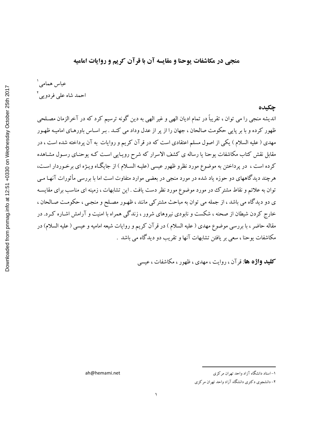منجے در مكاشفات يوحنا و مقايسه آن با قرآن كريم و روايات اماميه

عباس همامی ۱ احمد شاه عل<sub>ی</sub> فردوی<sub>ه ،</sub>'

#### جكىدە

اندیشه منجی را می توان ، تقریباً در تمام ادیان الهی و غیر الهی به دین گونه ترسیم کرد که در آخرالزمان مصـلحی ظهور کرده و با بر پایی حکومت صالحان ، جهان را از پر از عدل وداد می کنـد . بـر اسـاس باورهـای امامیـه ظهـور مهدی ( علیه السلام ) یکی از اصول مسلم اعتقادی است که در قر آن کریم و روایات به آن پرداخته شده است ، در مقابل نقش کتاب مکاشفات یوحنا یا رساله ی کشف الاسرار که شرح رویـایی اسـت کـه یوحنـای رسـول مشـاهده کرده است ، در پرداختن به موضوع مورد نظرو ظهور عیسی (علیـه السـلام ) از جایگـاه ویـژه ای برخـوردار اسـت، هرچند دیدگاههای دو حوزه یاد شده در مورد منجی در بعضی موارد متفاوت است اما با بررسی مأثورات آنهـا مـی توان به علائم و نقاط مشترک در مورد موضوع مورد نظر دست یافت . این تشابهات ، زمینه ای مناسب برای مقایسـه ی دو دیدگاه می باشد ، از جمله می توان به مباحث مشترکی مانند ، ظهـور مصـلح و منجـی ، حکومـت صـالحان ، خارج کردن شیطان از صحنه ، شکست و نابودی نیروهای شرور ، زندگی همراه با امنیت و آرامش اشـاره کـرد. در مقاله حاضر ، با بررسی موضوع مهدی ( علیه السلام ) در قرآن کریم و روایات شیعه امامیه و عیسی ( علیه السلام) در مکاشفات یوحنا ، سعی بر یافتن تشابهات آنها و تقریب دو دیدگاه می باشد .

**کلید واژه ها**: قر آن ، روایت ، مهدی ، ظهور ، مکاشفات ، عیسی

ah@hemami.net

۱– استاد دانشگاه آزاد واحد تهران مرکزی

۲- دانشجوی دکتری دانشگاه آزاد واحد تهران مرکزی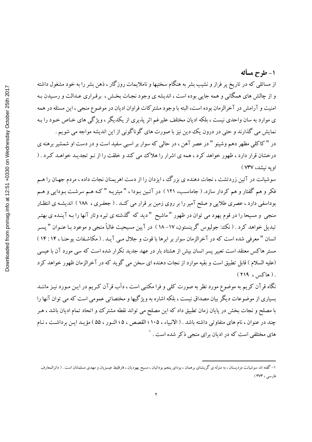## 1- طرح مسأله

از مسائلی که در تاریخ پر فراز و نشیب بشر به هنگام سختیها و ناملایمات روزگار ، ذهن بشر را به خود مشغول داشته و از چالش های همگانی و همه جایی بوده است ، اندیشه ی وجود نجـات بخـش ، برقـراری عـدالت و رسـیدن بـه امنیت و آرامش در آخرالزمان بوده است، البته با وجود مشترکات فراوان ادیان در موضوع منجی ، این مسئله در همه ی موارد به سان واحدی نیست ، بلکه ادیان مختلف علیرغم اثر پذیری از یکدیگر ، ویژگی های خـاص خـود را بـه نمایش می گذارند و حتی در درون یک دین نیز با صورت های گوناگونی از این اندیشه مواجه می شویم . در "کاکلی مظهر دهم وشینو " در عصر آهن ، در حالی که سوار بر اسبی سفید است و در دست او شمشیر برهنه ی درخشان قرار دارد ، ظهور خواهد کرد ، همه ی اشرار را هلاک می کند و خلقت را از نـو تجدیـد خواهـد کـرد . ( اويه نيشد، ٧٣٧ )

سوشیانت در آئین زردتشت ، نجات دهنده ی بزرگ ،، ایزدان را از دست اهریمنان نجات داده ، مردم جهـان را هـم فکر و هم گفتار و هم کردار سازد. ( جاماسب، ۱۲۱ ) در آئـین بـودا ، "میتریـه "کـه هـم سرشـت بـودایی و هـم بوداسفی دارد ، عصری طلایی و صلح آمیر را بر روی زمین بر قرار می کنـد . ( جعفـری ، ۱۸۸ ) اندیشـه ی انتظـار منجی و مسیحا را در قوم یهود می توان در ظهور "ماشیح " دید که گذشته ی تیره وتار آنها را بـه آینـده ی بهتـر تبدیل خواهد کرد . ( نک؛ جولیوس گرینستون، ۱۷–۱۸ ) در آیین مسیحیت غالباً منجی و موعود بـا عنـوان " یسـر انسان " معرفی شده است که در آخرالزمان سوار بر ابرها با قوت و جلال مـی آیـد . ( مکاشـفات یوحنـا ، ۱۴: ۱۴ ) مستر هاکس معتقد است تعبیر پسر انسان بیش از هشتاد بار در عهد جدید تکرار شده است که سی مورد آن با عیسی (عليه السلام ) قابل تطبيق است و بقيه موارد از نجات دهنده اي سخن مي گويد كه در آخرالزمان ظهور خواهد كرد  $(119, 24)$ .

نگاه قرآن کریم به موضوع مورد نظر به صورت کلبی و فرا مکتبی است ، دأب قرآن کـریم در ایـن مـورد نیـز ماننــد بسیاری از موضوعات دیگر بیان مصداق نیست ، بلکه اشاره به ویژگیها و مختصاتی عمومی است که می توان آنها را با مصلح و نجات بخش در پایان زمان تطبیق داد که این مصلح می تواند نقطه مشترک و اتحاد تمام ادیان باشد ، هـر چند در عنوان ، نام های متفاوتی داشته باشد . ( الانبیاء ، ۱۰۵ ؛ القصص ، ۵۵ ؛ النـور ، ۵۵ ) مؤیـد ایـن برداشـت ، نـام های مختلفی است که در ادیان برای منجی ذکر شده است . <sup>۱</sup>

۱– گفته اند سوشیانت مزدیسنان ، به منزله ی گریشنای برهمان ، بودای پنجم بودائیان ، مسیح یهودیان ، فارقلیط عیسویان و مهدی مسلمانان است . ( دائرالمعارف فارسی ، ۳۷۳ )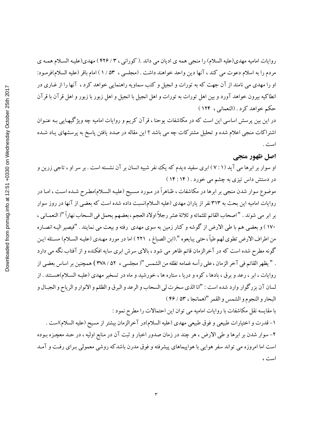روایات امامیه مهدی(علیه السلام) را منجی همه ی ادیان می داند .( کورانی ، ۳ / ۴۲۶ ) مهدی(علیـه السـلام همـه ی مردم را به اسلام دعوت مي كند ، آنها دين واحد خواهند داشت . (مجلسي ، ٥٣ / ١ ) امام باقر (عليه السلام)فرمـود: او را مهدی می نامند از آن جهت که به تورات و انجیل و کتب سماویه راهنمایی خواهد کرد ، آنها را از غـاری در انطاکیه بیرون خواهد آورد و بین اهل تورات به تورات و اهل انجیل با انجیل و اهل زبور با زبور و اهل قرآن با قرآن حکم خواهد کرد . (النعمانی ، ۱۲۴ )

در این بین پرسش اساسی این است که در مکاشفات یوحنا ، قرآن کریم و روایات امامیه چه ویژگیهـایی بـه عنـوان اشتراکات منجی اعلام شده و تحلیل مشترکات چه می باشد ؟ این مقاله در صدد یافتن پاسخ به پرسشهای یـاد شـده است .

## اصل ظهور منجي

او سوار بر ابرها می آید ( ۷ : ۷ ) ابری سفید دیدم که یک نفر شبیه انسان بر آن نشسته است . بر سر او ، تاجی زرین و در دستش داس تیزی به چشم می خورد . ( ۱۴: ۱۴ )

موضوع سوار شدن منجی بر ابرها در مکاشفات ، ظـاهراً در مـورد مسـیح (علیـه السـلام)مطـرح شـده اسـت ، امـا در روایات امامیه این بحث به ۳۱۳ نفر از یاران مهدی (علیه السلام)نسبت داده شده است که بعضی از آنها در روز سوار بر ابر مي شوند . "اصحاب القائم ثلثمائه و ثلاثة عشر رجلاً اولاد العجم ، بعضهم يحمل في السحاب نهاراً "( النعمـاني ، ۱۷۰ ) و بعضبي هم با طي الارض از گوشه و كنار زمين به سوى مهدى رفته و بيعت مي نمايند . "فيصير اليـه انصـاره من اطراف الارض تطوى لهم طياً ، حتى يبايعوه ".(ابن الصباغ ، ٢٢١ ) اما در مورد مهـدي (عليـه السـلام) مسـئله ايـن گونه مطرح شده است که در آخرالزمان قائم ظاهر می شود ، بالای سرش ابری سایه افکنده و از آفتاب نگه می دارد . "يظهر القائم في آخر الزمان ، على رأسه غمامه تظله من الشمس "( مجلسي ، ٥٢ / ٣٧٨ ) همچنين بر اساس بعضي از روایات ، ابر ، رعد و برق ، بادها ، کوه و دریا ، ستاره ها ، خورشید و ماه در تسخیر مهدی (علیـه السـلام)هسـتند . از لسان آن بزرگوار وارد شده است : "انا الذي سخرت لي السحاب و الرعد و البرق و الظلم و الانوار و الرياح و الجبال و البحار والنجوم والشمس والقمر "(همانجا ، ٥٣ / ٤٤)

با مقایسه نقل مکاشفات با روایات امامیه می توان این احتمالات را مطرح نمود :

١-قدرت و اختيارات طبيعي و فوق طبيعي مهدي (عليه السلام)در آخرالزمان بيشتر از مسيح (عليه السلام)است . ۲- سوار شدن بر ابرها و طي الارض ، هر چند در زمان صدور اخبار و ثبت آن در منابع اوليه ، در حـد معچـزه بـوده است اما امروزه می تواند سفر هوایی با هواپیماهای پیشرفته و فوق مدرن باشدکه روشی معمولی بـرای رفت و آمـد است ،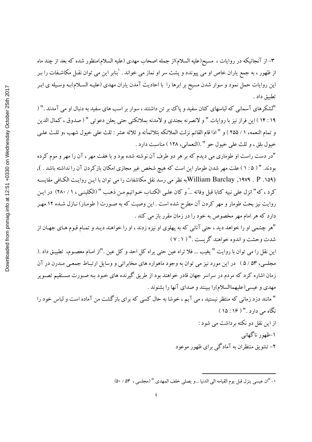Downloaded from pnmag.info at 12:51 +0330 on Wednesday October 25th 2017

۳– از آنجائیکه در روایات ، مسیح(علیه السلام)از جمله اصحاب مهدی (علیه السلام)منظور شده که بعد از چند ماه از ظهور ، به جمع یاران خاص او می پیوندد و پشت سر او نماز می خواند . <sup>'</sup>بنابر این می توان نقـل مکاشـفات را بـر این روایات حمل نمود و سوار شدن مسیح بر ابرها را با احادیث آمدن یاران مهدی (علیـه السـلام)بـه وسـیله ی ابـر تطبيق داد .

"لشكرهاي آسماني كه لباسهاي كتان سفيد و پاك بر تن داشتند ، سوار بر اسب هاي سفيد به دنبال او مي آمدند ." ( ١٩ : ١٤ ) اين فراز نيز با روايات " و لانصرنه بجندي و لامدنه بملائكتي حتى يعلن دعوتي " ( صدوق ، كمال الدين و تمام النعمه، ١ / ٢٥٥ ) و " اذا قام القائم نزلت الملائكه بثلاثمأئه و ثلاثه عشر : ثلث على خيول شهب ،و ثلث علـي خيول بلق ، و ثلث علي خيول حو " .(النعماني، ١٢٨ ) مناسبت دارد .

"در دست راست او طوماري مي ديدم كه بر هر دو طرف آن نوشته شده بود و با هفت مهر ، آن را مهر و موم كرده بودند. " ( ۱ : ۵ ) علت مهر شدن طومار این است که هیچ شخص غیر مجازی امکان بازکردن آن را نداشته باشد . ), William Barclay , ۱۹۷۹ . P . ۱۵۹)به نظر می رسد نقل مکاشفات را می توان با این روایت الکافی مقایسه كرد ، كه" انزل على نبيه كتابا قبل وفاته ...ً و كان علـى الكتـاب خـواتيم مـن ذهـب " (الكلينـي ، ١ / ٢٨٠) در ايـن روایت نیز بحث طومار و مهر کردن آن مطرح شده است . این وصیت که به صـورت ( طومـار) نـازل شـده ۱۲ مهـر دارد که هر امام مهر مخصوص به خود را در زمان مقرر باز می کند .

"هر چشمی او را خواهد دید ، حتی آنانی که به پهلوی او نیزه زدند ، او را خواهند دیـد و تمـام قـوم هـای جهـان از شدت وحشت و اندوه خواهند گریست ." ( ٧:١)

این نقل را می توان با روایت " یغیب ... فلا تراه عین حتی یراه کل احد و کل عین ."از امـام معصـوم، تطبیـق داد .( مجلسی، ۵۳ / ۵) در این مورد نیز می توان به وجود ماهواره های مخابراتی و وسایل ارتباط جمعی مـدرن در آن زمان اشاره کرد که مردم در سراسر جهان قادر خواهند بود از طریق گیرنده های خـود بـه صـورت مسـتقیم تصـویر مهدی و عیسی(علیهماالسلام)را ببینند و صدای آنها را بشنوند .

" مانند دزد زمانی که منتظر نیستید ، می آیم ، خوشا به حال کسی که برای بازگشت من آماده است و لباس خود را نگاه می دارد ." ( ۱۶: ۱۵) از این نقل دو نکته برداشت می شود :

۱-ظهور ناگهانی

۲- تشویق منتظران به آمادگی برای ظهور موعود

١- "ان عيسى ينزل قبل يوم القيامه الى الدنيا ...و يصلى خلف المهدى " (مجلسى ، ٥٣ / ٥٠)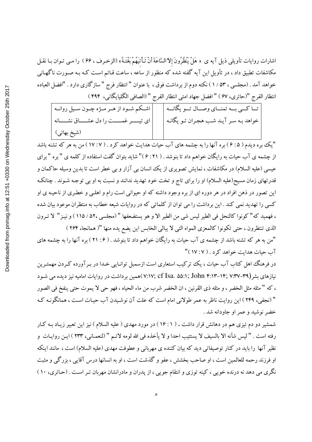اشارات روايات تأويلي ذيل آيه ي « هَلْ يَنْظُرُونَ إلاَّ السَّاعَةَ أَنْ تَـأْتِيَهُمْ بَغْتَـةً » (الزخـرف ، ۶۶ ) را مـي تـوان بـا نقـل مکاشفات تطبیق داد ، در تأویل این آیه گفته شده که منظور از ساعه ، ساعت قـائم اسـت کـه بـه صـورت ناگـهـانـی خواهد آمد . (مجلسی ، ۵۳ / ۱ ) نکته دوم از برداشت فوق ، با عنوان " انتظار فرج " سازگاری دارد . "افضل العباده انتظار الفرج "(حائري، 6٧ ) " افضل جهاد امتى انتظار الفرج " (الصافي الكليايكاني، ۴۹۴ )

| تــا كـــى بـــه تمنـــاى وصـــال تـــو يگانـــه         اشــكم شــود از هــر مــژه چــون ســيل روانــه |  |
|---------------------------------------------------------------------------------------------------------|--|
| خواهد بـه سـر آيـد شـب هجـران تـو يگانـه        اي تيـــــر غمــــــت را دل عشــــاق نشـــــانه         |  |
| (شيخ بهائي)                                                                                             |  |

"یک بره دیدم ( ۶:۵ ) بره آنها را به چشمه های آب حیات هدایت خواهد کرد . ( ۱۷:۷ ) من به هر که تشنه باشد از چشمه ی آب حیات به رایگان خواهم داد تا بنوشد . ( ۶:۲۱)" شاید بتوان گفت استفاده از کلمه ی "بره "برای عیسی (علیه السلام) در مکاشفات ، نمایش تصویری از یک انسان بی آزار و بی خطر است تا بدین وسیله حاکمان و قدرتهای زمان مسیح(علیه السلام) او را برای تاج و تخت خود تهدید ندانند و نسبت به او بی توجـه شـوند . چنانکـه این تصور در ذهن افراد در هر دوره ای از بره وجود داشته که او حیوانی است رام و اهلـی و خطـری از ناحیـه ی او کسی را تهدید نمی کند . این برداشت را می توان از کلماتی که در روایات شیعه خطاب به منتظران موعود بیان شده ، فهميد كه" كونوا كالنحل في الطير ليس شي من الطير الا و هو يستضعفها " (مجلسي ،٥٢ / ١١٥ ) و نيـز" لا تـرون الذي تنتظرون ، حتى تكونوا كالمعزى المواه التي لا يبالي الخابس اين يضع يده منها "( همانجا، ٢۶۴ )

"من به هر که تشنه باشد از چشمه ی آب حیات به رایگان خواهم داد تا بنوشد . ( ۶: ۲۱ ) بره آنها را به چشمه های آب حیات هدایت خواهد کرد . ( ١٧: ١٧ )"

در فرهنگ اهل کتاب آب حیات ، یک ترکیب استعاری است ازسمبل توانـایی خـدا در بـرآورده کـردن مهمتـرین نیازهای بشر (۳۹–۱۴٪ ۰۳۳–۱۴; John ۴:۱۳–۱۴; ۷:۳۷ )همین برداشت در روایات امامیه نیز دیده می شـود ، كه " مثله مثل الخضر ، و مثله ذي القرنين ، ان الخضر شرب من ماء الحياه ، فهو حي لا يموت حتى ينفخ في الصور " (نجفی، ۲۴۹ ) این روایت ناظر به عمر طولانی امام است که علت آن نوشیدن آب حیـات اسـت ، همانگونـه کـه خضر نوشید و عمر او جاودانه شد .

شمشیر دو دم تیزی هم در دهانش قرار داشت . ( ۱۶:۱ ) در مورد مهدی ( علیه السلام ) نیز این تعبیر زیـاد بـه کـار رفته است . " ليس شأنه الا بالسيف لا يستتيب احدا و لا يأخذه في الله لومه لائـم " (لنعمـاني، ٢٣٣ ) ايـن روايـات و نظیر آنها را باید در کنار توصیفاتی دید که بیان کننده ی مهربانی و عطوفت مهدی (علیه السلام) است ، مانند اینکه او فرزند رحمه للعالمین است ، او صاحب بخشش ، عفو و گذشت است ، او به انسانها درس آقایی ، بزرگی و مثبت نگری می دهد نه درنده خویی ، کینه توزی و انتقام جویی ، از پدران و مادرانشان مهربان تـر اسـت . (حـائری، ۱۰ )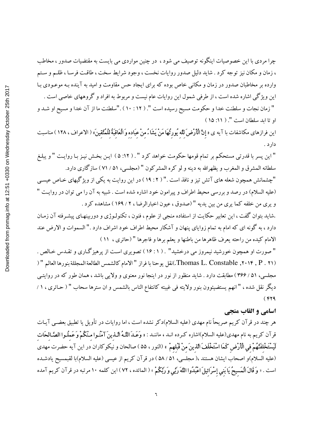چرا مردی با این خصوصیات اینگونه توصیف می شود ، در چنین مواردی می بایست به مقتضیات صدور ، مخاطب ، زمان و مکان نیز توجه کرد . شاید دلیل صدور روایات نخست ، وجود شرایط سخت ، طاقت فرسـا ، ظلـم و سـتم وارده بر مخاطبان صدور در زمان و مکانی خاص بوده که برای ایجاد حس مقاومت و امید به آینده بـه موعـودی بـا این ویژگی اشاره شده است ، از طرفی شمول این روایات عام نیست و مربوط به افراد و گروههای خاصی است . " زمان نجات و سلطنت خدا و حکومت مسیح رسیده است ". ( ۱۲ : ۱۰ ) ."سلطنت ما از آن خدا و مسیح او شـد و او تا ابد سلطان است ". ( ١١: ١٥)

این فرازهای مکاشفات با آیه ی «**إِنَّ الْأَرْضَ لِلَهِ يُورِثُهَا مَنْ يَشَاءُ مِنْ عِبَادِهِ وَالْعَاقِبَةَ لِلْمُتَّقِينَ» ( الاعراف ، ۱۲۸ ) مناسبت** دارد .

" این پسر با قدرتی مستحکم بر تمام قومها حکومت خواهد کرد " . ( ۱۲: ۵ ) ایـن بخـش نیـز بـا روایـت " و یبلـغ سلطانه المشرق و المغرب و يظهرالله به دينه و لو كره المشركون " (مجلسي، ۵۱ / ۷۱ ) سازگارى دارد.

"چشمانش همچون شعله های آتش تیز و نافذ است ." ( ۲ : ۱۹ ) در این روایت به یکی از ویژگیهای خـاص عیسـی (عليه السلام) در رصد و بررسي محيط اطراف و پيرامون خود اشاره شده است . شبيه به آن را مي توان در روايت " و پرې من خلفه کما پرې من بين يديه " (صدوق ، عيون اخبارالرضا ، ٢ / ١۶٩ ) مشاهده کرد .

.شاید بتوان گفت ، این تعابیر حکایت از استفاده منجی از علوم ، فنون ، تکنولـوژی و دوربینهـای پیشـرفته آن زمـان دارد ، به گونه ای که امام به تمام زوایای پنهان و آشکار محیط اطراف خود اشراف دارد ." السموات و الارض عند الامام كيده من راحته يعرف ظاهرها من باطنها و يعلم برها و فاجرها " (حائري ، ١١)

" صورت او همچون خورشید نیمروز می درخشید" . ( ۱۶:۱ ) تصویری است از پرهیز گـاری و تقـدس خـالص . (٢٠١٢, ٢٠١٤, Thomas L. Constable.)نقل يوحنا با فراز " الامام كالشمس الطالعة المجللة بنورها العالم " ( مجلسی، ۵۱ / ۳۶۶) مطابقت دارد . شاید منظور از نور در اینجا نور معنوی و ولایی باشد ، همان طور که در روایتبی ديگر نقل شده ، " انهم يستضيئوون بنور ولايته في غيبته كانتفاع الناس بالشمس و ان سترها سحاب " ( حـائري ، ١ /  $(rr9)$ 

#### اسامي و القاب منجي

هر چند در قرآن کریم صریحاً نام مهدی (علیه السلام)دکر نشده است ، اما روایات در تأویل یا تطبیق بعضـی آیـات قرآن كريم به نام مهدى(عليه السلام)اشاره كـرده انــد ، ماننــد : « وَعَــدَ **اللّــهُ الّــذينَ آمَنُـوا مـنْكُمْ وَعَملُـوا الصَّـالحَات** لَمِسْتَخْلفَنَّهُمْ في الْأَرْض كَمَا اسْتَخْلَفَ الذينَ منْ قَبْلهمْ » (النور ، ۵۵ ) صالحان و نيكوكاران در اين آيه حضرت مهدى (عليه السلام)و اصحاب ايشان هستند ،( مجلسي، ۵۱ / ۵۸ ) در قرآن كريم از عيسى (عليه السلام)با لقبمسيح يادشـده است . « **وَ قَالَ الْمَسيحُ يَا بَني إِسْرَائيلَ اعْبُدُوا اللَّهَ رَبِّي وَ رَبَّكُمْ** » ( المائده ، ٧٢ ) اين كلمه ١٠ مرتبه در قرآن كريم آمده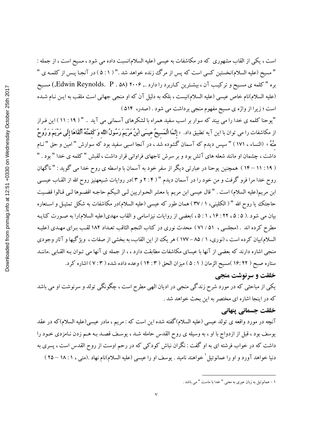است ، یکی از القاب مشهوری که در مکاشفات به عیسی (علیه السلام)نسبت داده می شود ، مسیح است ، از جمله : " مسيح (عليه السلام)نخستين كسي است كه پس از مرگ زنده خواهد شد ." ( ۵ : ۱ ) در آنجـا پـس از كلمـه ي " بره "كلمه ي مسيح و تركيب آن ، بيشترين كـاربرد را دارد ., ۲۰۰۶ (Edwin Reynolds. P . ۵۸, مسيح (علیه السلام)نام خاص عیسی (علیه السلام)نیست ، بلکه به دلیل آن که او منجی جهانی است ملقب به ایـن نـام شـده است ؛ زیرا از واژه ی مسیح مفهوم منجی برداشت می شود . (صدر، ۵۱۴)

"یوحنا کلمه ی خدا را می بیند که سوار بر اسب سفید همراه با لشکرهای آسمانی می آید . " ( ۱۹ : ۱۱ ) این فراز از مکاشفات را می توان با این آیه تطبیق داد. «**إِئَمَا الْمَسيحُ عيسَى ابْنُ مَرْيَمَ رَسُولُ اللّه وَكَلمَتُهُ أَلْقَاهَا إِلَى مَرْيَمَ وَرُوحٌ** منْهُ » (النساء ، ١٧١ ) " سپس ديدم كه آسمان گشوده شد ، در آنجا اسبى سفيد بود كه سوارش " امين و حق " نـام داشت ، چشمان او مانند شعله های آتش بود و بر سرش تاجهای فراوانی قرار داشت ، لقبش "کلمه ی خدا " بود . " ( ۱۹ : ۱۱ – ۱۴ ) همچنین یوحنا در عبارتی دیگر از سفر خود به آسمان با واسطه ی روح خدا می گوید : " ناگهان روح خدا مرا فرو گرفت و من خود را در آسمان دیدم " ( ۲:۴ و ۳ )در روایات شیعهنیز روح الله از القـاب عیسـی ابن مريم(عليه السلام) است . " قال عيسى ابن مريم يا معشر الحـواريين لـى الـيكم حاجـه اقضـوها لـى قـالوا قضـيت حاجتک یا روح الله " ( الکلینی، ۱ / ۳۷ ) همان طور که عیسی (علیه السلام)در مکاشفات به شکل تمثیـل و اسـتعاره بیان می شود .( ۵ : ۵ ، ۲۲ : ۱ ، ۱ ، ۲ ، )بعضی از روایات نیزاسامی و القاب مهدی(علیه السلام)را به صورت کنایـه مطرح كرده اند . (مجلسي ، ٥١ / ٧١ ) محدث نوري در كتاب النجم الثاقب تعـداد ١٨٢ لقـب بـراي مهـدي (عليـه السلام)بیان کرده است ، (نوری، ۱ / ۸۵ – ۱۷۷ ) هر یک از این القاب، به بخشی از صفات ، ویژگیها و آثار وجودی منجی اشاره دارند که بعضی از آنها با عیسای مکاشفات مطابقت دارد ، ، از جمله ی آنها می تـوان بـه القـابی .ماننــد ستاره صبح ( ١۶: ٢٢ )مسيح الزمان ( ٥ : ١ ) ميزان الحق ( ١٤: ١٣ ) وعده داده شده ( ٧: ٧ ) اشاره كرد.

## خلقت و سرنوشت منجي

یکی از مباحثی که در مورد شرح زندگی منجی در ادیان الهی مطرح است ، چگونگی تولد و سرنوشت او می باشد كه در اينجا اشاره اي مختصر به اين بحث خواهد شد .

#### خلقت جسماني ينهاني

آنچه در مورد واقعه ی تولد عیسی (علیه السلام)گفته شده این است که : مریم ، مادر عیسی(علیه السلام)که در عقد یوسف بود ، قبل از ازدواج با او ، به وسیله ی روح القدس حامله شـد ، یوسـف قصـد بـه هـم زدن نـامزدی خـود را داشت که در خواب فرشته ای به او گفت : نگران نباش کودکی که در رحم اوست از روح القدس است ، پسری به دنیا خواهد آورد و او را عمانوئیل کخواهند نامید . یوسف او را عیسی (علیه السلام)نام نهاد .(متبی ، ۱ : ۱۸ – ۲۵ )

١ –عمانوئيل به زبان عبري به معنى " خدا يا ماست " مـ ِ باشد .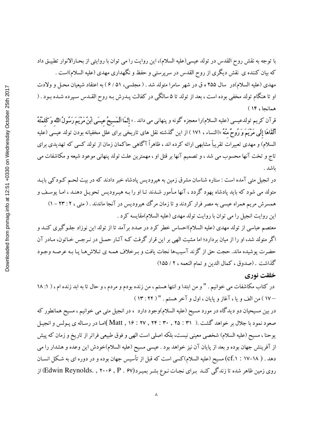با توجه به نقش روح القدس در تولد عيسى(عليه السلام)، اين روايت را مي توان با روايتي از بحـارالانوار تطبيـق داد که بیان کننده ی نقش دیگری از روح القدس در سرپرستی و حفظ و نگهداری مهدی (علیه السلام)است . مهدی (علیه السلام)در سال ۲۵۵ ه ق در شهر سامرا متولد شد . ( مجلسی، ۶/ ۵۱ ) به اعتقاد شیعیان محـل و ولادت او تا هنگام تولد مخفی بوده است ، بعد از تولد تا ۵ سالگی در کفالت پــدرش بـه روح القــدس سـپرده شــده بــود . ( همانجا، ١۴)

قرآن کریم تولدعیسی (علیه السلام)را معجزه گونه و پنهانی می داند . « **إنّمَا الْمَسيحُ عيسَى اْبنُ مَرْيَمَ رَسُولُ اللّه وَكَلمَتُهُ ٱلْقَاهَا إِلَى مَرْيَمَ وَ رُوحٌ منْهُ** »(النساء ، ١٧١ ) از اين گذشته نقل هاى تاريخى براى علل مخفيانه بودن تولد عيسى (عليه السلام) و مهدی تعبیرات تقریباً مشابهی ارائه کرده اند ، ظاهراً آگاهی حاکمان زمان از تولد کسی که تهدیدی برای تاج و تخت آنها محسوب می شد ، و تصمیم آنها بر قتل او ، مهمترین علت تولد پنهانی موعود شیعه و مکاشفات می ىاشد .

در انجیل متبی آمده است : ستاره شناسان مشرق زمین به هیرودیس پادشاه خبر دادند که در بیت لحـم کـودکبی بایـد متولد می شود که باید یادشاه یهود گردد ، آنها مأمور شـدند تـا او را بـه هیـرودیس تحویـل دهنـد ، امـا یوسـف و همسرش مریم همراه عیسی به مصر فرار کردند و تا زمان مرگ هیرودیس در آنجا ماندند . ( متبی ، ۲: ۲۳ – ۱) این روایت انجیل را می توان با روایت تولد مهدی (علیه السلام)مقایسه کرد .

معتصم عباسی از تولد مهدی (علیه السلام)احساس خطر کرد در صدد برآمد تا از تولد این نوزاد جلـوگیری کنـد و اگر متولد شد، او را از میان بردارد؛ اما مشیت الهی بر این قرار گرفت کـه آثـار حمـل در نـرجس خـاتون، مـادر آن حضرت پوشیده ماند. حجت حق از گزند آسیبها نجات یافت و بـرخلاف همـه ی تـلاش۵هـا پـا بـه عرصـه وجـود گذاشت . (صدوق ، كمال الدين و تمام النعمه ، ٢ / ١٥٥)

## خلقت نوري

در کتاب مکاشفات می خوانیم . " و من ابتدا و انتها هستم ، من زنده بودم و مردم ، و حال تا به ابد زنده ام ، ( ۱: ۱۸ ١٧ ) من الف ويا ، آغاز و پايان ، اول و آخر هستم . " ( ٢٢ : ١٣ )

در بین مسیحیان دو دیدگاه در مورد مسیح (علیه السلام)وجود دارد ، در انجیل متبی می خوانیم ، مسیح همانطور که صعود نمود با جلال بر خواهد گشت .( Matt , ۱۶ : ۲۷ , ۲۴ : ۳۰ , ۲۵ ])امـا در رسـاله ی پـولس و انجيـل يوحنا ، مسيح (عليه السلام) شخصي معيني نيست، بلكه اصلي است الهي و فوق طبيعي فراتر از تاريخ و زمان كه پيش از آفرینش جهان بوده و بعد از پایان آن نیز خواهد بود . عیسی مسیح (علیه السلام)خودش این وعده و هشدار را می دهد . ( cf.۱ : ۱۷–۱۸) مسیح (علیه السلام)کسی است که قبل از تأسیس جهان بوده و در دوره ای به شکل انســان روی زمین ظاهر شده تا زندگی کنـد بـرای نجـات نـوع بشـر بميـرد(Edwin Reynolds. , ۲۰۰۶ , P . ۶۷) از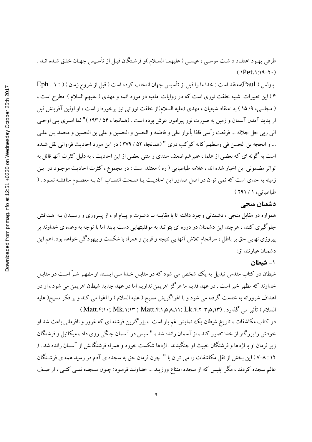طرفي يهـود اعتقـاد داشـت موسـي ، عيسـي ( عليهمـا السـلام )و فرشـتگان قبـل از تأسـيس جهـان خلـق شـده انـد .  $(1Pet.1:19-Y)$ 

پاولس ( Paul)معتقد است : خدا ما را قبل از تأسيس جهان انتخاب كرده است ( قبل از شروع زمان ) ( : ۱ . Eph ۴ ) این تعبیرات شبیه خلقت نوری است که در روایات امامیه در مورد ائمه و مهدی ( علیهم السلام ) مطرح است ، ( مجلسی، ۹/ ۱۵) به اعتقاد شیعیان ، مهدی (علیه السلام)از خلقت نورانی نیز برخوردار است ، او اولین آفرینش قبل از پدید آمدن آسمان و زمین به صورت نور پیرامون عرش بوده است . (همانجا ، ۵۴ / ۱۹۳)" لما اسـری بـی اوحـی الي ربي جل جلاله ... فرفعت رأسي فاذا بأنوار علي و فاطمه و الحسن و الحسين و علي بن الحسين و محمد بـن علـي ... و الحجه بن الحسن في وسطهم كانه كوكب دري " (همانجا، ۵۲ / ۳۷۹ ) در اين مورد احاديث فراواني نقل شـده است به گونه ای که بعضی از علما ، علیرغم ضعف سندی و متنی بعضی از این احادیث ، به دلیل کثرت آنها قائل به تواتر مضمونی این اخبار شده اند ، علامه طباطبایی ( ره ) معتقد است : در مجموع ، کثرت احادیث موجـود در ایـن زمینه به حدی است که نمی توان در اصل صدور این احادیث یـا صـحت انتسـاب آن بـه معصـوم مناقشـه نمـود . ( طباطبائی، ۱ / ۲۹۱ )

#### دشمنان منحي

همواره در مقابل منجی ، دشمنانی وجود داشته تا با مقابلـه بـا دعـوت و پيـام او ، از پيـروزي و رسـيدن بـه اهـدافش جلوگیری کنند ، هرچند این دشمنان در دوره ای بتوانند به موفقیتهایی دست یابند اما با توجه به وعده ی خداوند بر پیروزی نهایی حق بر باطل ، سرانجام تلاش آنها بی نتیجه و قرین و همراه با شکست و بیهودگی خواهد بود. اهم این دشمنان عبارتند از:

۱- شىطان

شیطان در کتاب مقدس تبدیل به یک شخص می شود که در مقابـل خـدا مـی ایسـتد او مظهـر شـرّ اسـت در مقابـل خداوند که مظهر خیر است . در عهد قدیم ما هرگز اهریمن نداریم اما در عهد جدید شیطان اهریمن می شود ، او در اهداف شرورانه به خدمت گرفته می شود و با اغواگریش مسیح ( علیه السلام ) را اغوا می کند و بر فکر مسیح( علیه السلام) تأثير مي گذارد . (Matt.۴:۱۰; Mk.۱:۱۳ ; Matt.۴:۱٫۵٫۸,۱۱; Lk.۴:۲-۳٫۵,۱۳

در کتاب مکاشفات ، تاریخ شیطان یک نمایش غم بار است ، بزرگترین فرشته ای که غرور و نافرمانی باعث شد او خودش را بزرگتر از خدا تصور کند ، از آسمان رانده شد ، " سپس در آسمان جنگی روی داد ، میکائیل و فرشتگان زیر فرمان او با اژدها و فرشتگان خبیث او جنگیدند . اژدها شکست خورد و همراه فرشتگانش از آسمان رانده شد . ( ۰۱۲ . ۷–۸ ) این بخش از نقل مکاشفات را می توان با " چون فرمان حق به سجده ی آدم در رسید همه ی فرشـتگان عالم سجده کردند ، مگر ابلیس که از سجده امتناع ورزیــد ... خداونــد فرمـود: چـون ســجده نمــی کنــی ، از صـف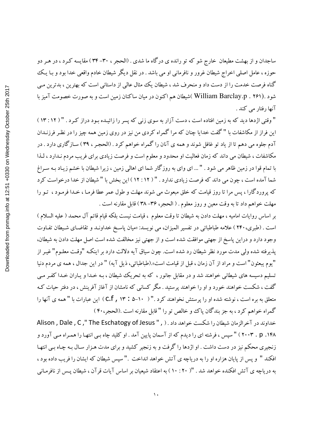ساجدان و از بهشت مطیعان خارج شو که تو رانده ی درگاه ما شدی . (الحجر ، ۳۰–۳۴) مقایسه کـرد ، در هـر دو حوزه ، عامل اصلي اخراج شيطان غرور و نافرماني او مي باشد . در نقل ديگر شيطان خادم واقعي خدا بود و بـا يـك گناه فرصت خدمت را از دست داد و منحرف شد ، شیطان یک مثال عالی از داستانی است که بهترین ، بدترین می شود .(William Barclay.p . ۲۶۱).شیطان هم اکنون در میان ساکنان زمین است و به صورت خصومت آمیز با آنها رفتار می کند .

" وقتی اژدها دید که به زمین افتاده است ، دست آزار به سوی زنی که پسر را زائیـده بـود دراز کـرد . " ( ١٢ : ١٣ ) این فراز از مکاشفات با "گفت خدایا چنان که مراگمراه کردی من نیز در روی زمین همه چیز را در نظـر فرزنــدان آدم جلوه می دهم تا از یاد تو غافل شوند و همه ی آنان را گمراه خواهم کرد . (الحجـر ، ۳۹) سـازگاری دارد . در مکاشفات ، شیطان می داند که زمان فعالیت او محدود و معلوم است و فرصت زیادی برای فریب مردم نـدارد ، لـذا با تمام قوا در زمین ظاهر می شود . " ... ای وای به روزگار شما ای اهالی زمین ، زیرا شیطان با خشم زیـاد بـه سـراغ شما آمده است ، چون می داند که فرصت زیادی ندارد . " ( ۱۲ : ۱۲ ) این بخش با " شیطان از خدا درخواست کرد که پروردگارا ، پس مرا تا روز قیامت که خلق مبعوث می شوند مهلت و طول عمر عطا فرمـا ، خـدا فرمـود ، تـو را مهلت خواهم داد تا به وقت معين و روز معلوم . ( الحجر، ٣۶–٣٨ ) قابل مقارنه است .

بر اساس روايات اماميه ، مهلت دادن به شيطان تا وقت معلوم ، قيامت نيست بلكه قيام قائم آل محمد ( عليه السلام ) است . (طبري، ٢۴٠ ) علامه طباطبائي در تفسير الميزان، مي نويسد: «ميان پاسخ خداونـد و تقاضـاي شـيطان تفـاوت وجود دارد و دراین پاسخ از جهتی موافقت شده است و از جهتی نیز مخالفت شده است اصل مهلت دادن به شیطان، یذیرفته شده ولی مدت مورد نظر شیطان رد شده است. چون سیاق آیه دلالت دارد بر اینکـه "وقـت معلـوم" غیـر از "يوم يبعثون" است و مراد از آن زمان ، قبل از قيامت است».(طباطبائي، ذيل آيه) " در اين جدال ، همه ي مردم دنيا تسلیم دسیسه های شیطانی خواهند شد و در مقابل جانور ، که به تحریک شیطان ، بـه خـدا و یـاران خـدا کفـر مـی گفت ، شکست خواهند خورد و او را خواهند پرستید . مگر کسانی که نامشان از آغاز آفرینش ، در دفتر حیات کـه متعلق به بره است ، نوشته شده او را پرستش نخواهند کرد .'' ( ١٠-۵ : ۲۳ , C.f ) این عبارات با '' همه ی آنها را گمراه خواهم کرد ، به جز بندگان یاک و خالص تو را "قابل مقارنه است .(الحجر،۴۰)

خداوند در آخرالزمان شيطان را شكست خواهد داد . ( , " The Eschatogy of Jesus " , ) Alison , Dale , C ۱۴۸. ۲۰۰۳ ) " سپس ، فرشته ای را دیدم که از آسمان پایین آمد . او کلید چاه بـی انتهـا را همـراه مـی آورد و زنجیری محکم نیز در دست داشت . او اژدها را گرفت و به زنجیر کشید و برای مدت هـزار سـال بـه چـاه بـی انتهـا افكند " و يس از پايان هزاره او را به درياچه ي آتش خواهد انداخت ." سيس شيطان كه ايشان را فريب داده بود ، به دریاچه ی آتش افکنده خواهد شد . "( ۲۰: ۱۰) به اعتقاد شیعیان بر اساس آیات قرآن ، شیطان پـس از نافرمـانی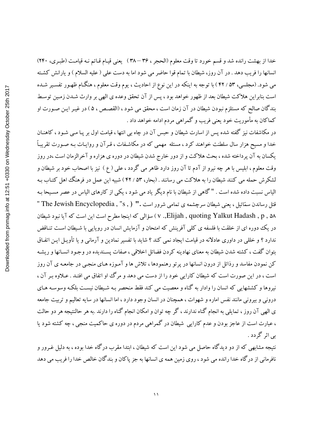خدا از بهشت رانده شد و قسم خورد تا وقت معلوم (الحجر ، ٣۶ – ٣٨ ) يعني قيـام قـائم نـه قيامـت (طبـرى، ٢۴٠) انسانها را فریب دهد . در آن روز، شیطان با تمام قوا حاضر می شود اما به دست علی ( علیه السلام ) و یارانش کشته می شود. (مجلسی، ۵۳ / ۴۲ ) با توجه به اینکه در این نوع از احادیث ، یوم وقت معلوم ، هنگـام ظهـور تفسـیر شـده است بنابراین هلاکت شیطان بعد از ظهور خواهد بود ، پس از آن تحقق وعده ی الهی بر وارث شـدن زمـین توسـط بندگان صالح که مستلزم نبودن شیطان در آن زمان است ، محقق می شود ، (القصـص ، ۵ ) در غیـر ایـن صـورت او کماکان به مأموریت خود یعنی فریب و گمراهی مردم ادامه خواهد داد .

در مکاشفات نیز گفته شده پس از اسارت شیطان و حبس آن در چاه بی انتها ، قیامت اول بر پـا مـی شـود ، کاهنـان خدا و مسیح هزار سال سلطنت خواهند کرد ، مسئله ًمهمی که در مکاشفات ، قـرآن و روایـات بـه صـورت تقریبـاً یکسان به آن پرداخته شده ، بحث هلاکت و از دور خارج شدن شیطان در دوره ی هزاره و آخرالزمان است ،در روز وقت معلوم ، ابلیس با هر چه نیرو از آدم تا آن روز دارد ظاهر می گردد ، علی ( ع ) نیز با اصحاب خود بر شیطان و لشکرش حمله می کنند شیطان را به هلاکت می رسانند . (بحار، ۵۳ / ۴۲) شبیه این عمل در فرهنگ اهل کتـاب بـه الیاس نسبت داده شده است . "گاهی از شیطان با نام دیگر یاد می شود ، یکی از کارهای الیاس در عصر مسیحا بـه قتل رساندن سمّائيل ، يعني شيطان سرچشمه ي تمامي شرور است .'' ( , The Jewish Encyclopedia , "s , ) '' v .,Elijah , quoting Yalkut Hadash , p , ۵۸ ) سؤالی که اینجا مطرح است این است که آیا نبود شیطان در یک دوره ای از خلقت با فلسفه ی کلی آفرینش که امتحان و آزمایش انسان در رویایی با شیطان است تنـاقض ندارد ؟ و خللي در داوري عادلانه در قيامت ايجاد نمي كند ؟ شايد با تفسير نمادين و آرماني و يا تأويـل ايـن اتفـاق بتوان گفت ، کشته شدن شیطان به معنای نهادینه کردن فضائل اخلاقی ، صفات پسـندیده در وجـود انسـانها و ریشـه کن نمودن مفاسد و رذائل از درون انسانها در پر تو رهنمودها ، تلاش ها و آمـوزه هـاي منجـي در جامعـه ي آن روز است ، در این صورت است که شیطان کارایی خود را از دست می دهد و مرگ او اتفاق می افتـد . عـلاوه بـر آن ، نیروها و کششهایی که انسان را وادار به گناه و معصیت می کند فقط منحصر بـه شـیطان نیسـت بلکـه وسوسـه هـای درونی و بیرونی مانند نفس اماره و شهوات ، همچنان در انسان وجود دارد ، اما انسانها در سایه تعالیم و تربیت جامعه ی الهی آن روز ، تمایلی به انجام گناه ندارند ، گر چه توان و امکان انجام گناه را دارند .به هر حالنتیجه هر دو حالت ، عبارت است از عاجز بودن و عدم کارایی شیطان در گمراهی مردم در دوره ی حاکمیت منجی ، چه کشته شود یا بے اثر گردد .

نتیجه مشابهی که از دو دیدگاه حاصل می شود این است که شیطان ، ابتدا مقرب درگاه خدا بوده ، به دلیل غـرور و نافرمانی از درگاه خدا رانده می شود ، روی زمین همه ی انسانها به جز پاکان و بندگان خالص خدا را فریب می دهد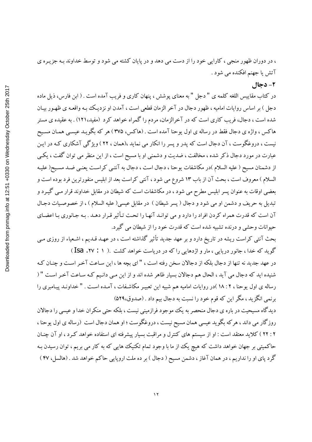، در دوران ظهور منجی ، کارایی خود را از دست می دهد و در پایان کشته می شود و توسط خداوند بـه جزیـره ی آتش یا جهنم افکنده می شود .

۲- دجال

در كتاب مقاييس اللغه كلمه ي " دجل " به معناي يوشش ، ينهان كاري و فريب آمده است . ( ابن فارس، ذيل ماده دجل ) بر اساس روايات اماميه ، ظهور دجال در آخر الزمان قطعي است ، آمدن او نزديك بـه واقعـه ي ظهـور بيـان شده است ، دجال، فریب کاری است که در آخرالزمان، مردم را گمراه خواهد کرد (مفید،۱۲۱) . به عقیده ی مستر هاکس ، واژه ی دجال فقط در رساله ی اول یوحنا آمده است . (هاکس، ۳۷۵) هر که بگویـد عیسـی همـان مسـیح نیست ، دروغگوست ، آن دجال است که پدر و پسر را انکار می نماید ،(همان ، ۲۲ ) ویژگی آشکاری کـه در ایـن عبارت در مورد دجال ذکر شده ، مخالفت ، ضدیت و دشمنی او با مسیح است ، از این منظر می توان گفت ، یکسی از دشمنان مسیح ( علیه السلام )در مکاشفات یوحنا ، دجال است ، دجال به آنتـی کراسـت یعنـی ضـد مسـیح( علیـه السلام ) معروف است ، بحث آن از باب ١٣ شروع مي شود ، آنتي كراست بعد از ابليس منفورترين فرد بوده است و بعضی اوقات به عنوان پسر ابلیس مطرح می شود ، در مکاشفات است که شیطان در مقابل خداوند قرار مـی گیـرد و تبديل به حريف و دشمن او مي شود و دجال ( يسر شيطان ) در مقابل عيسى( عليه السلام ) ، از خصوصيات دجـال آن است که قدرت همراه کردن افراد را دارد و می توانـد آنهـا را تحت تـأثیر قـرار دهـد . بـه جـانوري بـا اعضـاي حبوانات وحشی و درنده تشبیه شده است که قدرت خود را از شیطان می گیرد.

بحث آنتی کراست ریشه در تاریخ دارد و بر عهد جدید تأثیر گذاشته است ، در عهـد قـدیم ، اشـعیاء از روزی مـی گوید که خدا ، جانور دریایی ، مار و اژدهایی را که در دریاست خواهد کشت .( ۱ : ۲۷. Isa )

در عهد جدید نه تنها از دجال بلکه از دجالان سخن رفته است ، " ای بچه ها ، این سـاعت آخـر اسـت و چنـان کـه شنیده اید که دجال می آید ، الحال هم دجالان بسیار ظاهر شده اند و از این مـی دانـیم کـه سـاعت آخـر اسـت " ( رساله ی اول پوحنا ، ۲ : ۱۸ )در روایات امامیه هم شبیه این تعبیـر مکاشـفات ، آمـده اسـت . " خداونـد پیـامبری را برنمی انگزید ، مگر این که قوم خود را نسبت به دجال بیم داد . (صدوق،۵۲۹)

دیدگاه مسیحیت در باره ی دجال منحصر به یک موجود فرازمینی نیست ، بلکه حتبی منکران خدا و عیسی را دجالان روزگار می داند ، هرکه بگوید عیسی همان مسیح نیست ، دروغگوست ؛ او همان دجال است (رساله ی اول یوحنا ، ۲ : ۲۲ ) کلاید معتقد است : او از سیستم های کنترل و مراقبت بسیار پیشرفته ای استفاده خواهد کـرد ، او آن چنـان حاکمیتی بر جهان خواهد داشت که هیچ یک از ما با وجود تمام تکنیک هایی که به کار می بریم ، توان رسیدن بـه گرد پای او را نداریم ، در همان آغاز ، دشمن مسیح ( دجال ) بر ده ملت اروپایی حاکم خواهد شد . (هالسل، ۴۷ )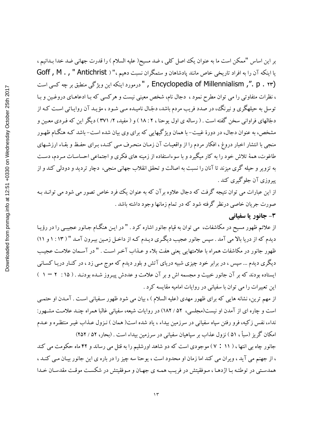بر این اساس "ممکن است ما به عنوان یک اصل کلبی ، ضد مسیح( علیه السلام ) را قدرت جهانی ضد خدا بـدانیم ، یا اینکه آن را به افراد تاریخی خاص مانند پادشاهان و ستمگران نسبت دهیم ،" ( Goff , M . , " Antichrist (Forcyclopedia of Millennialism ,". p . ۲۳ درمورد اینکه این ویژگی منطبق بر چه کسی است ، نظرات متفاوتی را می توان مطرح نمود ، دجال نام، شخص معینی نیست و هرکسی که بـا ادعاهـای دروغـین و بـا توسل به حیلهگری و نیرنگ، در صدد فریب مردم باشد، دجّال نامیـده مـی شـود ، مؤیـد آن روایـاتی اسـت کـه از دجّالهای فراوانی سخن گفته است . ( رساله ی اول یوحنا ، ۲ : ۱۸ ) و ( مفید، ۲/ ۳۷۱ ) دیگر این که فـردی معـین و مشخص، به عنوان دجال، در دورهٔ غیبت– با همان ویژگیهایی که برای وی بیان شده است– باشد کـه هنگـام ظهـور منجی با انتشار اخبار دروغ ، افکار مردم را از واقعیات آن زمـان منحـرف مـی کنـد، بـرای حفـظ و بقـاء ارزشـهای طاغوت، همهٔ تلاش خود را به کار میگیرد و با سوءاستفاده از زمینه های فکری و اجتماعی احساسـات مـردم، دسـت به تزویر و حیله گری میزند تا آنان را نسبت به اصالت و تحقق انقلاب جهانی منجی، دچار تردید و دودلی کند و از پیروزی آن جلوگیری کند .

از این عبارات می توان نتیجه گرفت که دجال علاوه بر آن که به عنوان یک فرد خاص تصور می شود می توانید به صورت جریان خاصی درنظر گرفته شود که در تمام زمانها وجود داشته باشد .

#### ۳- جانور یا سفیانی

از علائم ظهور مسیح در مکاشفات، می توان به قیام جانور اشاره کرد . " در ایـن هنگـام جـانور عجیبـی را در رؤیـا دیدم که از دریا بالا می آمد . سپس جانور عجیب دیگری دیـدم کـه از داخـل زمـین بیـرون آمـد " ( ۱۳ : ۱ و ۱۱) ظهور جانور در مكاشفات همراه با علامتهايي يعني هفت بلاء و عـذاب آخـر اسـت . " در آسـمان علامـت عجيـب دیگری دیدم ... سپس ، در برابر خود چیزی شبیه دریای آتش و بلور دیدم که موج مـی زد ، در کنـار دریـا کسـانی ایستاده بودند که بر آن جانور خبیث و مجسمه اش و بر آن علامت و عددش پیروز شـده بودنـد . ( ۱۵ : ۲ – ۱ ) این تعبیرات را می توان با سفیانی در روایات امامیه مقایسه کرد .

از مهم ترین، نشانه هایی که برای ظهور مهدی (علیه السلام ) ، بیان می شود ظهور سـفیانی اسـت . آمـدن او حتمـی است و چاره ای از آمدن او نیست(مجلسی، ۵۲ / ۱۸۲) در روایات شیعه، سفیانی غالبا همراه چنـد علامـت مشـهور: نداء، نفس زكيه، فرو رفتن سپاه سفياني در سرزمين بيداء ، ياد شده است( همان ) نـزول عـذاب غيـر منتظـره و عـدم امکان گریز (سبأ ، ۵۱) نزول عذاب بر سپاهیان سفیانی در سرزمین بیداء است . (بحار، ۵۲ / ۲۵۲)

جانور چاه بی انتها ، ( ۱۱ : ۷ ) موجودی است که دو شاهد اورشلیم را به قتل می رساند و ۴۲ ماه حکومت می کند ، از جهنم می آید ، ویران می کند اما زمان او محدود است ، یوحنا سه چیز را در باره ی این جانور بیـان مـی کنـد ، همدستی در توطئـه بـا اژدهـا ، مـوفقيتش در فريـب همـه ی جهـان و مـوفقيتش در شكسـت موقـت مقدسـان خـدا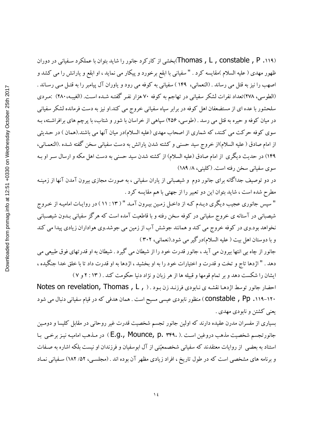(Thomas , L , constable , P .۱۱۹)بخشی از کارکرد جانور را شاید بتوان با عملکرد سفیانی در دوران ظهور مهدی ( علیه السلام )مقایسه کرد . " سفیانی با ابقع برخورد و پیکار می نماید ، او ابقع و یارانش را می کشد و اصهب را نيز به قتل مي رساند . (النعماني، ١۴٩ ) سفياني به كوفه مي رود و ياوران آل پيامبر را به قتـل مـي رسـاند . (الطوسی، ۲۷۸)تعداد نفرات لشکر سفیانی در تهاجم به کوفه ۷۰ هزار نفـر گفتـه شـده اسـت. (الغیبـه،۲۸۰) :مـردی سلحشور با عده ای از مستضعفان اهل کوفه در برابر سپاه سفیانی خروج می کند.او نیز به دست فرمانده لشکر سفیانی در میان کوفه و حیره به قتل می رسد . (طوسی، ۲۵۶) سپاهی از خراسان با شور و شتاب، با پرچم های برافراشـته، بـه سوی کوفه حرکت می کنند، که شماری از اصحاب مهدی (علیه السلام)در میان آنها می باشند.(همان ) در حـدیثی از امام صادق ( عليه السلام)از خروج سيد حسني و كشته شدن يارانش به دست سفياني سخن گفته شـده .(النعمـاني، ۱۴۹) در حدیث دیگری از امام صادق (علیه السلام) از کشته شدن سید حسنی به دست اهل مکه و ارسال سـر او بـه سوی سفیانی سخن رفته است. (کلینی، ۸/ ۱۸۹)

در دو توصیف جداگانه برای جانور دوم و شیصبانی از پاران سفیانی ، به صورت مجازی بیرون آمدن آنها از زمینـه مطرح شده است ، شاید بتوان این دو تعبیر را از جهتی با هم مقایسه کرد .

" سپس جانوري عجيب ديگري ديـدم كـه از داخـل زمـين بيـرون آمـد " ( ۱۳ : ۱۱ ) در روايـات اماميـه از خـروج شیصبانی در آستانه ی خروج سفیانی در کوفه سخن رفته و با قاطعیت آمده است که هرگز سفیانی بـدون شیصـبانی نخواهد بود.وی در کوفه خروج می کند و همانند جوشش آب از زمین می جوشد.وی هواداران زیادی پیدا می کند و با دوستان اهل بيت ( عليه السلام)درگير مي شود.(نعماني، ٣٠٢ )

جانور از چاه بی انتها بیرون می آید ، جانور قدرت خود را از شیطان می گیرد . شیطان به او قدرتهای فوق طبیعی می دهد . " اژدها تاج و تخت و قدرت و اختیارات خود را به او بخشید ، اژدها به او قدرت داد تا با خلق خدا جنگیده ، ایشان را شکست دهد و بر تمام قومها و قبیله ها از هر زبان و نژاد دنیا حکومت کند . ( ۲: ۱۳ و ۷ )

احضار جانور توسط اژدها نقشه ي نابودي فرزند زن بود . ( Notes on revelation, Thomas , L , ) ۱۲۰–۱۱۹. Constable , Pp ) منظور نابودی عیسی مسیح است . همان هدفی که در قیام سفیانی دنبال می شود يعني کشتن و نابودي مهدي .

بسیاری از مفسران مدرن عقیده دارند که اولین جانور تجسم شخصیت قدرت غیر روحانی در مقابل کلیسا و دومـین جانورتجسم شخصیت مذهب دروغین است .( .E.g., Mounce, p. ۳۴۹ ) در مـذهب امامیـه نیـز برخـی بـا استناد به بعضی از روایات معتقدند که سفیانی شخصمعیّنی از آل ابوسفیان و فرزندان او نیست بلکه اشاره به صـفات و برنامه های مشخصی است که در طول تاریخ ، افراد زیادی مظهر آن بوده اند . (مجلسـی، ۵۲/ ۱۸۲) سـفیانی نمـاد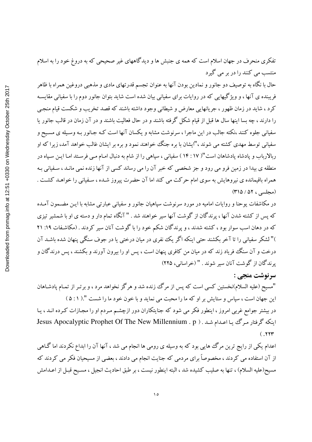تفکری منحرف در جهان اسلام است که همه ی جنبش ها و دیدگاههای غیر صحیحی که به دروغ خود را به اسلام منتسب می کنند را در بر می گیرد

حال با نگاه به توصیف دو جانور و نمادین بودن آنها به عنوان تجسم قدرتهای مادی و مذهبی دروغین همراه با ظاهر فریبنده ی آنها ، و ویژگیهایی که در روایات برای سفیانی بیان شده است شاید بتوان جانور دوم را با سفیانی مقایسـه کرد ، شاید در زمان ظهور ، جریانهایی معارض و شیطانی وجود داشته باشند که قصد تخریب و شکست قیام منجبی را دارند ، چه بسا اینها سال ها قبل از قیام شکل گرفته باشند و در حال فعالیت باشند و در آن زمان در قالب جانور یا سفیانی جلوه کنند ،نکته جالب در این ماجرا ، سرنوشت مشابه و یکسان آنها است کـه جـانور بـه وسـیله ی مسـیح و سفیانی توسط مهدی کشته می شوند ،"ایشان با بره جنگ خواهند نمود و بره بر ایشان غالب خواهد آمد، زیرا که او ربالارباب و پادشاه پادشاهان است"( ۱۷ : ۱۴ ) سفیانی ، سپاهی را از شام به دنبال امـام مـی فرسـتد امـا ايـن سـپاه در منطقه ی بیدا در زمین فرو می رود و جز شخصی که خبر آن را می رساند کسی از آنها زنده نمی مانـد ، سـفیانی بـه همراه باقیمانده ی نیروهایش به سوی امام حرکت می کند اما آن حضرت پیروز شـده ، سـفیانی را خواهـد کشـت . (مجلسی ، ۵۲ / ۳۱۵)

در مکاشفات یوحنا و روایات امامیه در مورد سرنوشت سیاهیان جانور و سفیانی عبارتی مشابه با ایـن مضـمون آمـده که پس از کشته شدن آنها ، پرندگان از گوشت آنها سیر خواهند شد . " آنگاه تمام دار و دسته ی او با شمشیر تیزی که در دهان اسب سوار بود ، کشته شدند ، و پرندگان شکم خود را با گوشت آنان سیر کردند . (مکاشفات ۱۹: ۲۱ )" لشکر سفیانی را تا آخر بکشند حتی اینکه اگر یک نفری در میان درختی یا در جوف سنگی پنهان شده باشـد آن درخت و آن سنگ فریاد زند که در میان من کافری پنهان است ، پس او را بیرون آورند و بکشند ، پس درندگان و يرندگان از گوشت آنان سير شوند . " (خراساني، ٢٢۵)

سرنوشت منجي :

"مسیح (علیه السلام)نخستین کسی است که پس از مرگ زنده شد و هرگز نخواهد مرد ، و برتـر از تمـام پادشـاهان این جهان است ، سپاس و ستایش بر او که ما را محبت می نماید و با خون خود ما را شست ".( ۵: ۵) در بیشتر جوامع غربی امروز ، اینطور فکر می شود که جنایتکاران دور ازچشـم مـردم او را مجـازات کـرده انــد ، یــا اینکه گرفتار مرگ یا اعدام شد . ( Jesus Apocalyptic Prophet Of The New Millennium . p  $(0.117)$ 

اعدام یکی از رایج ترین مرگ هایی بود که به وسیله ی رومی ها انجام می شد ، آنها آن را ابداع نکردند اما گـاهی از آن استفاده می کردند ، مخصوصاً برای مردمی که جنایت انجام می دادند ، بعضی از مسیحیان فکر می کردند که مسیح(علیه السلام) ، تنها به صلیب کشیده شد ، البته اینطور نیست ، بر طبق احادیث انجیل ، مسـیح قبـل از اعــدامش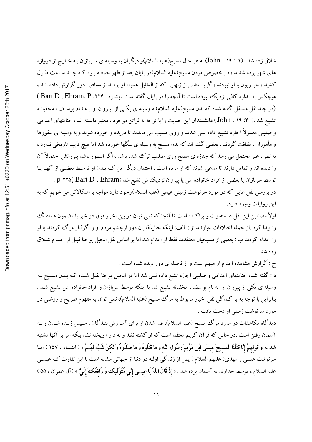شلاق زده شد . (۱ : ۱۹ . John) به هر حال مسیح(علیه السلام)و دیگران به وسیله ی سـربازان بـه خـارج از دروازه های شهر برده شدند ، در خصوص مردن مسیح(علیه السلام)در پایان بعد از ظهر جمعـه بـود کـه چنـد سـاعت طـول کشید ، حواریون با او نبودند ، گویا بعضی از زنهایی که از الخلیل همراه او بودند از مسافتی دور گزارش داده انــد ، هیچکس به اندازه کافی نزدیک نبوده است تا آنچه را در پایان گفته است ، بشنود . Bart D , Ehram. P .۲۲۴ ) (در چند نقل مستقل گفته شده که بدن مسیح(علیه السلام)به وسیله ی یکـی از پیـروان او بـه نـام یوسـف ، مخفیانـه تشییع شد .( ۳: ۱۹ . John ) دانشمندان این حدیث را با توجه به قرائن موجود ، معتبر دانسته اند ، جنایتهای اعدامی و صلیبی معمولاً اجازه تشییع داده نمی شدند و روی صلیب می ماندند تا دریده و خورده شوند و به وسیله ی سفورها و مأموران ، نظافت گردند ، بعضبی گفته اند که بدن مسیح به وسیله ی سگها خورده شد اما هیچ تأیید تاریخی ندارد ، به نظر ، غیر محتمل می رسد که جنازه ی مسیح روی صلیب ترک شده باشد ، اگر اینطور باشد پیروانش احتمالاً آن را دیده اند و تمایل دارند تا مدعی شوند که او مرده است ، احتمال دیگر این کـه بـدن او توسـط بعضـی از آنهـا یـا

توسط سربازان یا بعضی از افراد خانواده اش یا پیروان نزدیکترش تشیع شد p ۲۲۵( Bart D , Ehram) . در بررسی نقل هایی که در مورد سرنوشت زمینی عیسی (علیه السلام)وجود دارد مواجه با اشکالاتی می شویم که به این روایات وجود دارد.

اولاً مضامین این نقل ها متفاوت و پراکنده است تا آنجا که نمی توان در بین اخبار فوق دو خبر با مضمون هماهنگ را پیدا کرد .از جمله اختلافات عبارتند از : الف: اینکه جنایتکاران دور ازچشم مردم او را گرفتار مرگ کردند یا او را اعدام کردند ب : بعضی از مسیحیان معتقدند فقط او اعدام شد اما بر اساس نقل انجیل یوحنا قبـل از اعـدام شـلاق ز ده شد

ج : گزارش مشاهده اعدام او مبهم است و از فاصله ی دور دیده شده است .

د : گفته شده جنایتهای اعدامی و صلیبی اجازه تشیع داده نمی شد اما در انجیل یوحنا نقـل شـده کـه بـدن مسـیح بـه وسیله ی یکپی از پیروان او به نام یوسف ، مخفیانه تشییع شد یا اینکه توسط سربازان و افراد خانواده اش تشییع شـد . بنابراین با توجه به پراکندگی نقل اخبار مربوط به مرگ مسیح (علیه السلام)، نمی توان به مفهوم صریح و روشنی در مورد سرنوشت زميني او دست يافت .

دیدگاه مکاشفات در مورد مرگ مسیح (علیه السلام)، فدا شدن او برای آمـرزش بنـدگان ، سـپس زنـده شـدن و بـه آسمان رفتن است .در حالبی که قرآن کریم معتقد است که او کشته نشد و به دار آویخته نشد بلکه امر بر آنها مشتبه شد .« وَقَوْلهمْ إِنَّا قَتَلْنَا الْمَسيحَ عيسَى ابْنَ مَرْيَمَ رَسُولَ اللَّه وَ مَا قَتَلُوهُ وَ مَا صَلَّبُوهُ وَ لَكنْ شُبِّهَ لَهُمْ » ( النساء ، ١٥٧ ) امـا سرنوشت عیسی و مهدی( علیهم السلام ) پس از زندگی اولیه در دنیا از جهاتی مشابه است با این تفاوت کـه عیسـی عليه السلام ، توسط خداوند به آسمان برده شد . « **إِذْ قَالَ اللَّهُ يَا عِيسَى إِنِّي مُتَوَقِّيكَ وَ رَافِعُكَ إِلَي**ّ » (آل عمران ، ۵۵ )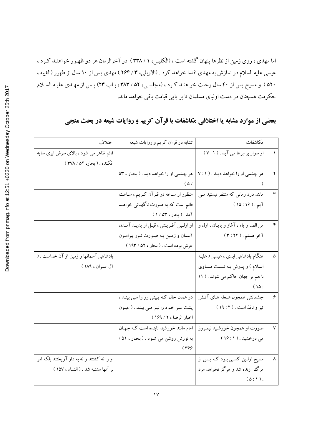اما مهدی ، روی زمین از نظرها پنهان گشته است ، (الکلینی، ۱ / ۳۳۸ ) در آخرالزمان هر دو ظهـور خواهنـد کـرد ، عیسی علیه السلام در نمازش به مهدی اقتدا خواهد کرد . (الاربلی، ۳ / ۲۶۴ ) مهدی پس از ۱۰ سال از ظهور (الغیبه ، ۵۲۰ ) و مسیح پس از ۴۰ سال رحلت خواهنـد كـرد ، (مجلسـي، ۵۲ / ۳۸۳ ، بـاب ۲۳) پـس از مهـدي عليـه السـلام حکومت همچنان در دست اولیای مسلمان تا بر پایی قیامت باقی خواهد ماند.

# بعضی از موارد مشابه یا اختلافی مکاشفات با قرآن کریم و روایات شیعه در بحث منجی

| اختلاف                                      | تشابه در قرآن کریم و روایات شیعه                                          | مكاشفات                             |                      |
|---------------------------------------------|---------------------------------------------------------------------------|-------------------------------------|----------------------|
| قائم ظاهر می شود ، بالای سرش ابری سایه      |                                                                           | او سوار بر ابرها می آید . ( ٧:١)    |                      |
| افكنده . ( بحار، ۵۲ / ۳۷۸ )                 |                                                                           |                                     |                      |
|                                             | هر چشمی او را خواهد دیـد . ( ۷:۱   هر چشمی او را خواهد دید . ( بحـار ، ۵۳ |                                     |                      |
|                                             | $(\Delta)$                                                                |                                     |                      |
|                                             | منظور از سـاعه در قـرآن کـريم ، سـاعت                                     | مانند دزد زمانی که منتظر نیستید مـی | $\mathbf{\breve{r}}$ |
|                                             | قائم است که به صورت ناگهـانـي خواهــد                                     | آيم . ( ۱۶ : ۱۵ )                   |                      |
|                                             | آمد . ( بحار ، ۵۳ / ۱ )                                                   |                                     |                      |
|                                             | او اولين آفرينش، قبل از پديـد آمـدن                                       | من الف و ياء ، آغاز و پايان ، اول و | ۴                    |
|                                             | آسمان و زمین بـه صـورت نـور پیرامـون                                      | آخر هستم . ( ۳:۲۲ )                 |                      |
|                                             | عرش بوده است . ( بحار ، ۵۲ / ۱۹۳)                                         |                                     |                      |
| پادشاهی آسمانها و زمین از آن خداست . (      |                                                                           | هنگام پادشاهی ابدی ، عیسی ( علیـه   | ۵                    |
| آل عمران ، ۱۸۹ )                            |                                                                           | السلام ) و پدرش بـه نسـبت مسـاوی    |                      |
|                                             |                                                                           | با هم بر جهان حاکم می شوند . ( ١١   |                      |
|                                             |                                                                           | (10:                                |                      |
|                                             | در همان حال کـه پـیش رو را مـی بینـد ،                                    | چشمانش همچون شـعله هـاي آتـش        | ۶                    |
|                                             | پشت سر خود را نیز می بیند . ( عیون                                        | تيز ونافذ است . ( ١٢: ١٩)           |                      |
|                                             | اخبار الرضا ، ٢ / ١۶٩ )                                                   |                                     |                      |
|                                             | امام مانند خورشید تابنده است کـه جهـان                                    | صورت او همچون خورشـيد نيمـروز       | ٧                    |
|                                             | به نورش روشن می شود . (بحار ، ۵۱ /                                        | می درخشید . ( ۱۶: ۱۶ )              |                      |
|                                             | $(\tau$ ۶۶                                                                |                                     |                      |
| او را نه کشتند و نه به دار آویختند بلکه امر |                                                                           | مسیح اولین کسی بود کـه پـس از       | ٨                    |
| بر آنها مشتبه شد . ( النساء ، ١٥٧ )         |                                                                           | مرگ  زنده شد و هرگز نخواهد مرد      |                      |
|                                             |                                                                           | $(\Delta:1)$ .                      |                      |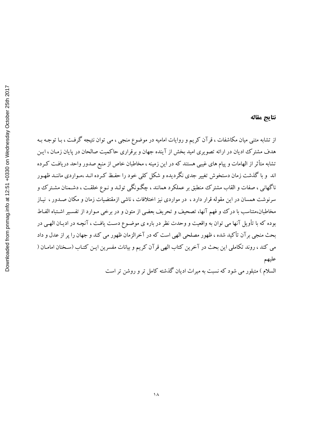### نتايج مقاله

از تشابه متنی میان مکاشفات ، قرآن کریم و روایات امامیه در موضوع منجی ، می توان نتیجه گرفت ، بـا توجـه بـه هدف مشترک ادیان در ارائه تصویری امید بخش از آینده جهان و برقراری حاکمیت صالحان در پایان زمـان ، ایـن تشابه متأثر از الهامات و پیام های غیبی هستند که در این زمینه ، مخاطبان خاص از منبع صدور واحد دریافت کـرده اند و با گذشت زمان دستخوش تغییر جدی نگردیده و شکل کلمی خود را حفـظ کـرده انـد ،مـواردی ماننـد ظهـور ناگهانی ، صفات و القاب مشترک منطبق بر عملکرد همانند ، چگونگی تولـد و نـوع خلقـت ، دشـمنان مشـترک و سرنوشت همسان در این مقوله قرار دارد ، در مواردی نیز اختلافات ، ناشی ازمقتضیات زمان و مکان صـدور ، نیـاز مخاطبان،متناسب با درك و فهم آنها، تصحيف و تحريف بعضي از متون و در برخي مـوارد از تفسـير اشـتباه الفـاط بوده که با تأویل آنها می توان به واقعیت و وحدت نظر در باره ی موضـوع دسـت یافـت ، آنچـه در ادیـان الهـی در بحث منجي برآن تأکيد شده ، ظهور مصلحي الهي است که در آخرالزمان ظهور مي کند و جهان را پر از عدل و داد می کند ، روند تکاملی این بحث در آخرین کتاب الهی قرآن کریم و بیانات مفسرین ایـن کتـاب (سـخنان امامـان ( عليهم

السلام ) متبلور می شود که نسبت به میراث ادیان گذشته کامل تر و روشن تر است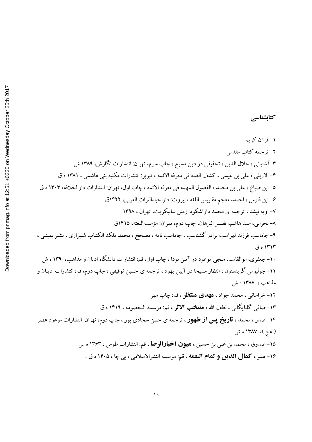۱–قرآن کریم ۲– ترجمه کتاب مقدس ۳–آشتیانی ، جلال الدین ، تحقیقی در دین مسیح ، چاپ سوم، تهران: انتشارات نگارش، ۱۳۸۹ ش ۴–الاربلي ، علي بن عيسى ، كشف الغمه في معرفه الائمه ، تبريز: انتشارات مكتبه بني هاشمي ، ١٣٨١ ه ق ۵– ابن صباغ ، علي بن محمد ، الفصول المهمه في معرفه الائمه ، چاپ اول، تهران: انتشارات دارالخلافه، ۱۳۰۳ ه ق ۶–ابن فارس ، احمد، معجم مقاييس اللغه ، بيروت: داراحياءالتراث العربي، ١۴٢٢ق ۷– اویه نیشد ، ترجمه ی محمد داراشکوه ازمتن سانیکریت، تهران ، ۱۳۹۸ ۸– بحرانی، سید هاشم، تفسیر البرهان، چاپ دوم، تهران: مؤسسهالبعثه، ۱۴۱۵ق ۹- جاماسب فرزند لهراسب برادر گشتاسب ، جاماسب نامه ، مصحح ، محمد ملک الکتـاب شـيرازي ، نشـر بمبئـي ، ۱۳۱۳ ه ق ۱۰– جعفری، ابوالقاسم، منجی موعود در آیین بودا ، چاپ اول، قم: انتشارات دانشگاه ادیان و مذاهب، ۱۳۹۰ ه ش ١١- جوليوس گرينستون ، انتظار مسيحا در آيين يهود ، ترجمه ي حسين توفيقي ، چاپ دوم، قم: انتشارات اديـان و مذاهب، ١٣٨٧ ه ش ۱۲- خراساني ، محمد جواد ، **مهدي منتظو** ، قم: چاپ مهر ۱۳–صافی گلپایگانی ، لطف الله ، **هنتخب الاثو** ، قم: موسسه المعصومه ، ۱۴۱۹ ه ق ۱۴–صدر ، محمد ، **تاریخ پس از ظهور** ، ترجمه ی حسن سجادی پور ، چاپ دوم، تهران: انتشارات موعود عصر ( عج )، ۱۳۸۷ ه ش ۱۵–صدوق ، محمد بن علي بن حسين ، **عيون اخبارالرضا** ، قم: انتشارات طوس ، ۱۳۶۳ ه ش ۱۶- همو ، كمال الدين و تمام النعمه ، قم: موسسه النشرالاسلامي ، بي چا ، ۱۴۰۵ ه ق .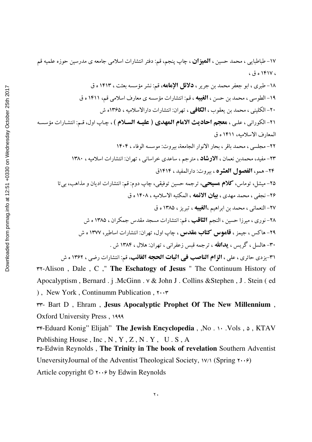۱۷–طباطبایی ، محمد حسین ، **المیزان** ، چاپ پنجم، قم: دفتر انتشارات اسلامی جامعه ی مدرسین حوزه علمیه قم  $6.90181V<sub>6</sub>$ ١٨- طبري ، ابو جعفر محمد بن جرير ، دلائل الإمامه، قم: نشر مؤسسه بعثت ، ١٤١٣ ه ق ۱۹- الطوسی ، محمد بن حسن ، **الغیبه** ، قم: انتشارات مؤسسه ی معارف اسلامی قم، ۱۴۱۱ ه ق ۲۰- الکلینی ، محمد بن یعقوب ، **الکافی** ، تهران: انتشارات دارالاسلامیه ، ۱۳۶۵ه ش ٢١- الكوراني ، علي ، هجم احاديث الامام المهدي ( عليـه السـلام ) ، چـاب اول، قـم: انتشـارات مؤسسـه المعارف الاسلاميه، ١۴١١ ه ق ٢٢- مجلسي ، محمد ياقر ، بحار الأنوار الجامعة، بيروت: موسسه الوفاء ، ١٤٠٤ ۲۳- مفید، محمدبن نعمان ، **الارشاد** ، مترجم ، ساعدی خراسانی ، تهران: انتشارات اسلامیه ، ۱۳۸۰ ٢۴- همو، الفصول العشره، بيروت: دارالمفيد، ١٤١٤ق ۲۵- میشل، توماس، **کلام هسیحب**ی، ترجمه حسین توفیقی، چاپ دوم: قم: انتشارات ادیان و مذاهب، ب<u>ی</u> تا ۲۶- نجفي ، محمد مهدي ، **بيان الائمه** ، المكتبه الاسلاميه ، ۱۴۰۸ ه ق ۲۷- النعمانی ، محمد بن ابراهیم ،**الغیبه** ، تبریز ، ۱۳۸۵ ه ق ۲۸– نوری ، میرزا حسین ، النجم **الثاقب** ، قم: انتشارات مسجد مقدس جمکران ، ۱۳۸۵ ه ش ۲۹- هاکس ، جیمز ، **قاموس کتاب مقدس ،** چاپ اول، تهران: انتشارات اساطیر، ۱۳۷۷ ه ش ۳۰- هالسل ، گریس ، **بدالله** ، ترجمه قیس زعفرانی ، تهران: هلال ، ۱۳۸۴ ش ٣١-يزدي حائري ، علي ، **الزام الناصب في اثبات الحجه الغائب**، قم: انتشارات رضي ، ١٣٦٢ ه ش ٣٢-Alison, Dale, C, "The Eschatogy of Jesus "The Continuum History of

Apocalyptism, Bernard. j.McGinn. v & John J. Collins & Stephen, J. Stein (ed) ), New York, Continumm Publication,  $\cdots$ 

rr- Bart D, Ehram, Jesus Apocalyptic Prophet Of The New Millennium, **Oxford University Press**, 1999

٣٣-Eduard Konig" Elijah" The Jewish Encyclopedia, , No. ١٠ . Vols, ٥, KTAV Publishing House, Inc, N, Y, Z, N. Y, U.S, A

ro-Edwin Reynolds, The Trinity in The book of revelation Southern Adventist Uneversity Journal of the Adventist Theological Society,  $V/\sqrt{(Sping \tau \cdot \cdot \cdot)}$ 

Article copyright  $\mathbb{O}$   $\cdots$  by Edwin Reynolds